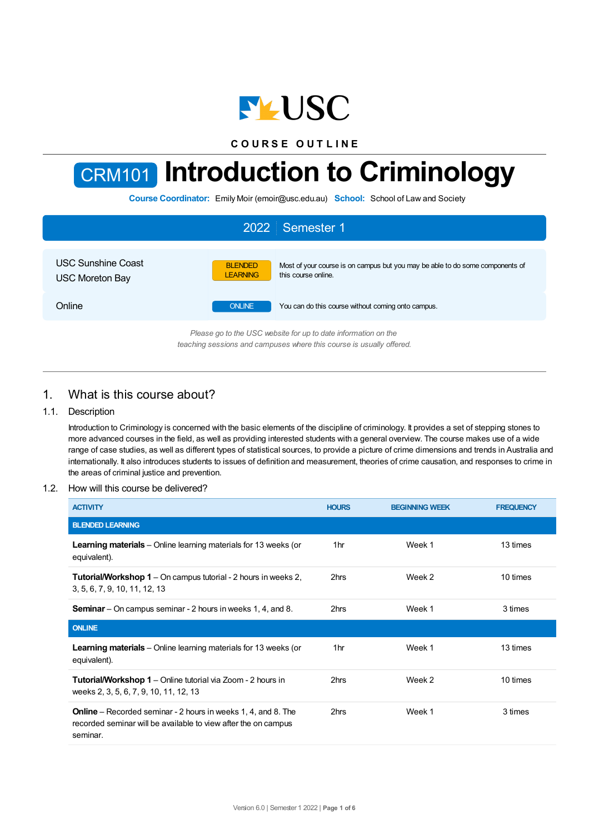

**C O U R S E O U T L I N E**



# CRM101 **Introduction to Criminology**

**Course Coordinator:** Emily Moir (emoir@usc.edu.au) **School:** School of Law and Society

| 2022 Semester 1                                                |                                                                                                                                           |  |  |  |  |
|----------------------------------------------------------------|-------------------------------------------------------------------------------------------------------------------------------------------|--|--|--|--|
| <b>USC Sunshine Coast</b><br><b>USC Moreton Bay</b>            | <b>BLENDED</b><br>Most of your course is on campus but you may be able to do some components of<br>this course online.<br><b>LEARNING</b> |  |  |  |  |
| Online                                                         | <b>ONLINE</b><br>You can do this course without coming onto campus.                                                                       |  |  |  |  |
| Please go to the USC website for up to date information on the |                                                                                                                                           |  |  |  |  |

*teaching sessions and campuses where this course is usually offered.*

# 1. What is this course about?

## 1.1. Description

Introduction to Criminology is concerned with the basic elements of the discipline of criminology. It provides a set of stepping stones to more advanced courses in the field, as well as providing interested students with a general overview. The course makes use of a wide range of case studies, as well as different types of statistical sources, to provide a picture of crime dimensions and trends in Australia and internationally. It also introduces students to issues of definition and measurement, theories of crime causation, and responses to crime in the areas of criminal justice and prevention.

## 1.2. How will this course be delivered?

| <b>ACTIVITY</b>                                                                                                                                    | <b>HOURS</b> | <b>BEGINNING WEEK</b> | <b>FREQUENCY</b> |
|----------------------------------------------------------------------------------------------------------------------------------------------------|--------------|-----------------------|------------------|
| <b>BLENDED LEARNING</b>                                                                                                                            |              |                       |                  |
| <b>Learning materials</b> – Online learning materials for 13 weeks (or<br>equivalent).                                                             | 1hr          | Week 1                | 13 times         |
| <b>Tutorial/Workshop 1</b> – On campus tutorial - 2 hours in weeks 2,<br>3, 5, 6, 7, 9, 10, 11, 12, 13                                             | 2hrs         | Week 2                | 10 times         |
| <b>Seminar</b> – On campus seminar - 2 hours in weeks 1, 4, and 8.                                                                                 | 2hrs         | Week 1                | 3 times          |
| <b>ONLINE</b>                                                                                                                                      |              |                       |                  |
| <b>Learning materials</b> – Online learning materials for 13 weeks (or<br>equivalent).                                                             | 1hr          | Week 1                | 13 times         |
| <b>Tutorial/Workshop 1</b> – Online tutorial via Zoom - 2 hours in<br>weeks 2, 3, 5, 6, 7, 9, 10, 11, 12, 13                                       | 2hrs         | Week 2                | 10 times         |
| <b>Online</b> – Recorded seminar - 2 hours in weeks 1, 4, and 8. The<br>recorded seminar will be available to view after the on campus<br>seminar. | 2hrs         | Week 1                | 3 times          |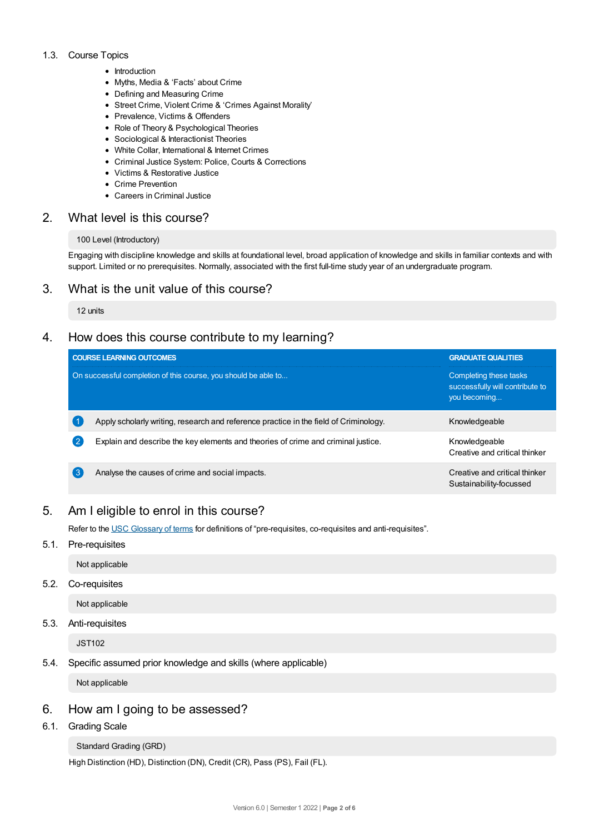## 1.3. Course Topics

- Introduction
- Myths, Media & 'Facts' about Crime
- Defining and Measuring Crime
- Street Crime, Violent Crime & 'Crimes Against Morality'
- Prevalence, Victims & Offenders
- Role of Theory & Psychological Theories
- Sociological & Interactionist Theories
- White Collar, International & Internet Crimes
- Criminal Justice System: Police, Courts & Corrections
- Victims & Restorative Justice
- Crime Prevention
- Careers in Criminal Justice

# 2. What level is this course?

## 100 Level (Introductory)

Engaging with discipline knowledge and skills at foundational level, broad application of knowledge and skills in familiar contexts and with support. Limited or no prerequisites. Normally, associated with the first full-time study year of an undergraduate program.

# 3. What is the unit value of this course?

12 units

# 4. How does this course contribute to my learning?

|              | <b>COURSE LEARNING OUTCOMES</b>                                                       | <b>GRADUATE QUALITIES</b>                                                 |  |  |
|--------------|---------------------------------------------------------------------------------------|---------------------------------------------------------------------------|--|--|
|              | On successful completion of this course, you should be able to                        | Completing these tasks<br>successfully will contribute to<br>you becoming |  |  |
|              | Apply scholarly writing, research and reference practice in the field of Criminology. | Knowledgeable                                                             |  |  |
| $\mathbf{2}$ | Explain and describe the key elements and theories of crime and criminal justice.     | Knowledgeable<br>Creative and critical thinker                            |  |  |
| 3            | Analyse the causes of crime and social impacts.                                       | Creative and critical thinker<br>Sustainability-focussed                  |  |  |

# 5. Am Ieligible to enrol in this course?

Refer to the USC [Glossary](https://www.usc.edu.au/about/policies-and-procedures/glossary-of-terms-for-policy-and-procedures) of terms for definitions of "pre-requisites, co-requisites and anti-requisites".

5.1. Pre-requisites

Not applicable

5.2. Co-requisites

Not applicable

5.3. Anti-requisites

JST102

5.4. Specific assumed prior knowledge and skills (where applicable)

Not applicable

# 6. How am Igoing to be assessed?

6.1. Grading Scale

```
Standard Grading (GRD)
```
High Distinction (HD), Distinction (DN), Credit (CR), Pass (PS), Fail (FL).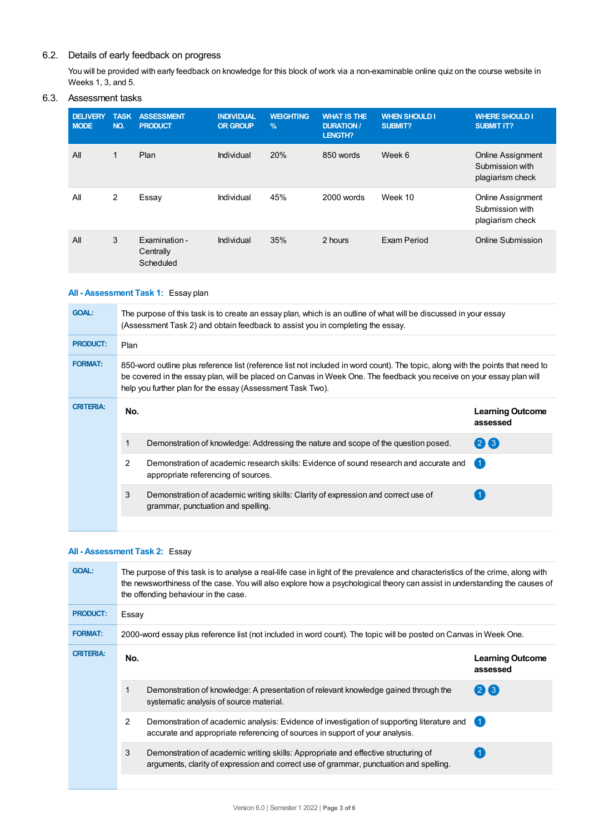# 6.2. Details of early feedback on progress

You will be provided with early feedback on knowledge for this block of work via a non-examinable online quiz on the course website in Weeks 1, 3, and 5.

## 6.3. Assessment tasks

| <b>DELIVERY</b><br><b>MODE</b> | <b>TASK</b><br>NO. | <b>ASSESSMENT</b><br><b>PRODUCT</b>     | <b>INDIVIDUAL</b><br><b>OR GROUP</b> | <b>WEIGHTING</b><br>$\%$ | <b>WHAT IS THE</b><br><b>DURATION /</b><br><b>LENGTH?</b> | <b>WHEN SHOULD I</b><br><b>SUBMIT?</b> | <b>WHERE SHOULD I</b><br><b>SUBMIT IT?</b>                      |
|--------------------------------|--------------------|-----------------------------------------|--------------------------------------|--------------------------|-----------------------------------------------------------|----------------------------------------|-----------------------------------------------------------------|
| All                            | $\mathbf{1}$       | Plan                                    | Individual                           | 20%                      | 850 words                                                 | Week 6                                 | <b>Online Assignment</b><br>Submission with<br>plagiarism check |
| All                            | 2                  | Essay                                   | Individual                           | 45%                      | 2000 words                                                | Week 10                                | <b>Online Assignment</b><br>Submission with<br>plagiarism check |
| All                            | 3                  | Examination -<br>Centrally<br>Scheduled | Individual                           | 35%                      | 2 hours                                                   | Exam Period                            | Online Submission                                               |

# **All - Assessment Task 1:** Essay plan

| <b>GOAL:</b>     | The purpose of this task is to create an essay plan, which is an outline of what will be discussed in your essay<br>(Assessment Task 2) and obtain feedback to assist you in completing the essay.                                                                                                                    |                                                                                                                               |                                     |  |  |
|------------------|-----------------------------------------------------------------------------------------------------------------------------------------------------------------------------------------------------------------------------------------------------------------------------------------------------------------------|-------------------------------------------------------------------------------------------------------------------------------|-------------------------------------|--|--|
| <b>PRODUCT:</b>  | Plan                                                                                                                                                                                                                                                                                                                  |                                                                                                                               |                                     |  |  |
| <b>FORMAT:</b>   | 850-word outline plus reference list (reference list not included in word count). The topic, along with the points that need to<br>be covered in the essay plan, will be placed on Canvas in Week One. The feedback you receive on your essay plan will<br>help you further plan for the essay (Assessment Task Two). |                                                                                                                               |                                     |  |  |
| <b>CRITERIA:</b> | No.                                                                                                                                                                                                                                                                                                                   |                                                                                                                               | <b>Learning Outcome</b><br>assessed |  |  |
|                  |                                                                                                                                                                                                                                                                                                                       | Demonstration of knowledge: Addressing the nature and scope of the question posed.                                            | $(2)$ $(3)$                         |  |  |
|                  | $\mathcal{P}$                                                                                                                                                                                                                                                                                                         | Demonstration of academic research skills: Evidence of sound research and accurate and<br>appropriate referencing of sources. | $\overline{1}$                      |  |  |
|                  | 3                                                                                                                                                                                                                                                                                                                     | Demonstration of academic writing skills: Clarity of expression and correct use of<br>grammar, punctuation and spelling.      |                                     |  |  |
|                  |                                                                                                                                                                                                                                                                                                                       |                                                                                                                               |                                     |  |  |

# **All - Assessment Task 2:** Essay

| <b>GOAL:</b>     | The purpose of this task is to analyse a real-life case in light of the prevalence and characteristics of the crime, along with<br>the newsworthiness of the case. You will also explore how a psychological theory can assist in understanding the causes of<br>the offending behaviour in the case. |                                                                                                                                                                              |                                     |  |  |
|------------------|-------------------------------------------------------------------------------------------------------------------------------------------------------------------------------------------------------------------------------------------------------------------------------------------------------|------------------------------------------------------------------------------------------------------------------------------------------------------------------------------|-------------------------------------|--|--|
| <b>PRODUCT:</b>  | Essay                                                                                                                                                                                                                                                                                                 |                                                                                                                                                                              |                                     |  |  |
| <b>FORMAT:</b>   | 2000-word essay plus reference list (not included in word count). The topic will be posted on Canvas in Week One.                                                                                                                                                                                     |                                                                                                                                                                              |                                     |  |  |
| <b>CRITERIA:</b> | No.                                                                                                                                                                                                                                                                                                   |                                                                                                                                                                              | <b>Learning Outcome</b><br>assessed |  |  |
|                  |                                                                                                                                                                                                                                                                                                       | Demonstration of knowledge: A presentation of relevant knowledge gained through the<br>systematic analysis of source material.                                               | (213)                               |  |  |
|                  | 2                                                                                                                                                                                                                                                                                                     | Demonstration of academic analysis: Evidence of investigation of supporting literature and<br>accurate and appropriate referencing of sources in support of your analysis.   | 〔1                                  |  |  |
|                  | 3                                                                                                                                                                                                                                                                                                     | Demonstration of academic writing skills: Appropriate and effective structuring of<br>arguments, clarity of expression and correct use of grammar, punctuation and spelling. |                                     |  |  |
|                  |                                                                                                                                                                                                                                                                                                       |                                                                                                                                                                              |                                     |  |  |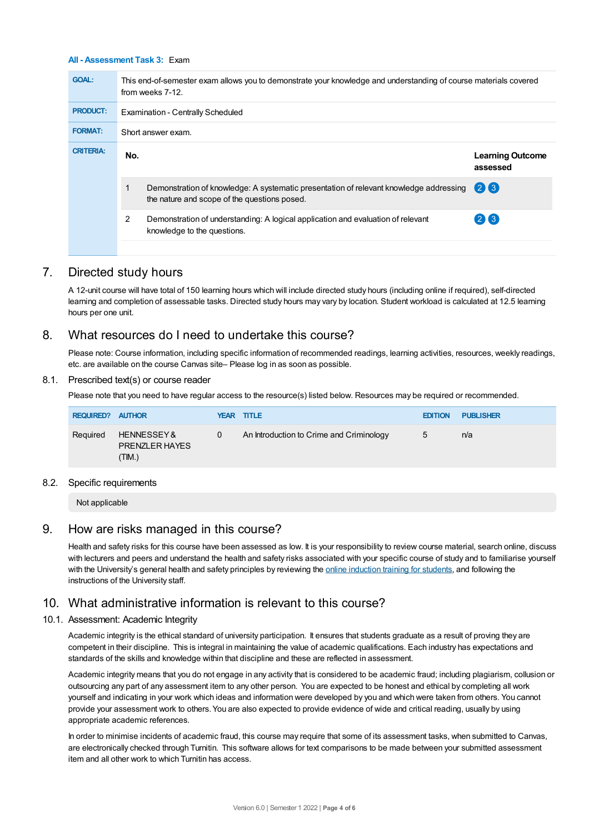## **All - Assessment Task 3:** Exam

| <b>GOAL:</b>     | This end-of-semester exam allows you to demonstrate your knowledge and understanding of course materials covered<br>from weeks 7-12. |                                                                                                                                        |                                     |  |  |  |
|------------------|--------------------------------------------------------------------------------------------------------------------------------------|----------------------------------------------------------------------------------------------------------------------------------------|-------------------------------------|--|--|--|
| <b>PRODUCT:</b>  |                                                                                                                                      | Examination - Centrally Scheduled                                                                                                      |                                     |  |  |  |
| <b>FORMAT:</b>   |                                                                                                                                      | Short answer exam.                                                                                                                     |                                     |  |  |  |
| <b>CRITERIA:</b> | No.                                                                                                                                  |                                                                                                                                        | <b>Learning Outcome</b><br>assessed |  |  |  |
|                  |                                                                                                                                      | Demonstration of knowledge: A systematic presentation of relevant knowledge addressing<br>the nature and scope of the questions posed. | $(2)$ $(3)$                         |  |  |  |
|                  | 2                                                                                                                                    | Demonstration of understanding: A logical application and evaluation of relevant<br>knowledge to the questions.                        | (2)(3)                              |  |  |  |
|                  |                                                                                                                                      |                                                                                                                                        |                                     |  |  |  |

# 7. Directed study hours

A 12-unit course will have total of 150 learning hours which will include directed study hours (including online if required), self-directed learning and completion of assessable tasks. Directed study hours may vary by location. Student workload is calculated at 12.5 learning hours per one unit.

# 8. What resources do I need to undertake this course?

Please note: Course information, including specific information of recommended readings, learning activities, resources, weekly readings, etc. are available on the course Canvas site– Please log in as soon as possible.

#### 8.1. Prescribed text(s) or course reader

Please note that you need to have regular access to the resource(s) listed below. Resources may be required or recommended.

| <b>REQUIRED? AUTHOR</b> |                                               |   | YEAR TITLE                               | <b>EDITION</b>  | <b>PUBLISHER</b> |
|-------------------------|-----------------------------------------------|---|------------------------------------------|-----------------|------------------|
| Required                | HENNESSEY&<br><b>PRENZLER HAYES</b><br>(TIM.) | 0 | An Introduction to Crime and Criminology | $5\overline{a}$ | n/a              |

#### 8.2. Specific requirements

Not applicable

# 9. How are risks managed in this course?

Health and safety risks for this course have been assessed as low. It is your responsibility to review course material, search online, discuss with lecturers and peers and understand the health and safety risks associated with your specific course of study and to familiarise yourself with the University's general health and safety principles by reviewing the online [induction](https://online.usc.edu.au/webapps/blackboard/content/listContentEditable.jsp?content_id=_632657_1&course_id=_14432_1) training for students, and following the instructions of the University staff.

# 10. What administrative information is relevant to this course?

#### 10.1. Assessment: Academic Integrity

Academic integrity is the ethical standard of university participation. It ensures that students graduate as a result of proving they are competent in their discipline. This is integral in maintaining the value of academic qualifications. Each industry has expectations and standards of the skills and knowledge within that discipline and these are reflected in assessment.

Academic integrity means that you do not engage in any activity that is considered to be academic fraud; including plagiarism, collusion or outsourcing any part of any assessment item to any other person. You are expected to be honest and ethical by completing all work yourself and indicating in your work which ideas and information were developed by you and which were taken from others. You cannot provide your assessment work to others. You are also expected to provide evidence of wide and critical reading, usually by using appropriate academic references.

In order to minimise incidents of academic fraud, this course may require that some of its assessment tasks, when submitted to Canvas, are electronically checked through Turnitin. This software allows for text comparisons to be made between your submitted assessment item and all other work to which Turnitin has access.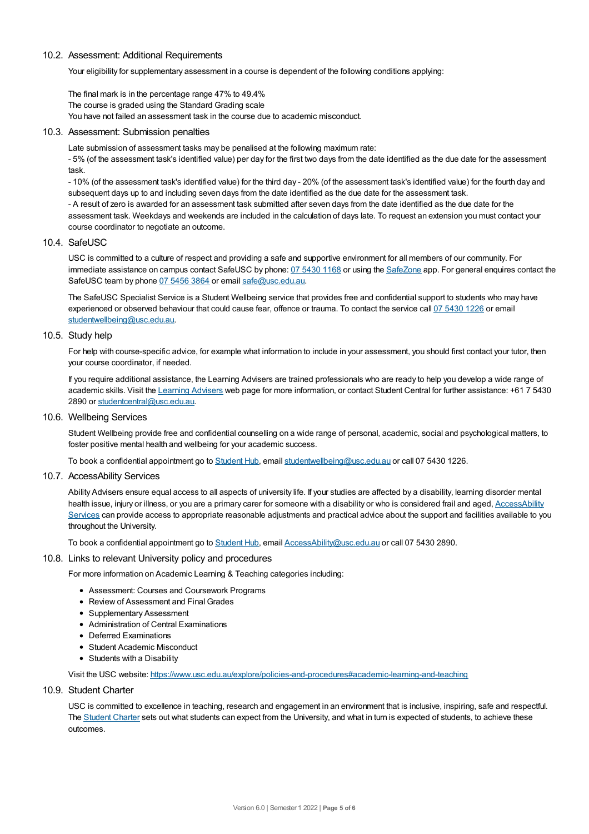#### 10.2. Assessment: Additional Requirements

Your eligibility for supplementary assessment in a course is dependent of the following conditions applying:

The final mark is in the percentage range 47% to 49.4% The course is graded using the Standard Grading scale You have not failed an assessment task in the course due to academic misconduct.

## 10.3. Assessment: Submission penalties

Late submission of assessment tasks may be penalised at the following maximum rate:

- 5% (of the assessment task's identified value) per day for the first two days from the date identified as the due date for the assessment task.

- 10% (of the assessment task's identified value) for the third day - 20% (of the assessment task's identified value) for the fourth day and subsequent days up to and including seven days from the date identified as the due date for the assessment task.

- A result of zero is awarded for an assessment task submitted after seven days from the date identified as the due date for the assessment task. Weekdays and weekends are included in the calculation of days late. To request an extension you must contact your course coordinator to negotiate an outcome.

## 10.4. SafeUSC

USC is committed to a culture of respect and providing a safe and supportive environment for all members of our community. For immediate assistance on campus contact SafeUSC by phone: 07 [5430](tel:07%205430%201168) 1168 or using the [SafeZone](https://www.safezoneapp.com) app. For general enquires contact the SafeUSC team by phone 07 [5456](tel:07%205456%203864) 3864 or email [safe@usc.edu.au](mailto:safe@usc.edu.au).

The SafeUSC Specialist Service is a Student Wellbeing service that provides free and confidential support to students who may have experienced or observed behaviour that could cause fear, offence or trauma. To contact the service call 07 [5430](tel:07%205430%201226) 1226 or email [studentwellbeing@usc.edu.au](mailto:studentwellbeing@usc.edu.au).

## 10.5. Study help

For help with course-specific advice, for example what information to include in your assessment, you should first contact your tutor, then your course coordinator, if needed.

If you require additional assistance, the Learning Advisers are trained professionals who are ready to help you develop a wide range of academic skills. Visit the Learning [Advisers](https://www.usc.edu.au/current-students/student-support/academic-and-study-support/learning-advisers) web page for more information, or contact Student Central for further assistance: +61 7 5430 2890 or [studentcentral@usc.edu.au](mailto:studentcentral@usc.edu.au).

10.6. Wellbeing Services

Student Wellbeing provide free and confidential counselling on a wide range of personal, academic, social and psychological matters, to foster positive mental health and wellbeing for your academic success.

To book a confidential appointment go to [Student](https://studenthub.usc.edu.au/) Hub, email [studentwellbeing@usc.edu.au](mailto:studentwellbeing@usc.edu.au) or call 07 5430 1226.

## 10.7. AccessAbility Services

Ability Advisers ensure equal access to all aspects of university life. If your studies are affected by a disability, learning disorder mental health issue, injury or illness, or you are a primary carer for someone with a disability or who is considered frail and aged, [AccessAbility](https://www.usc.edu.au/learn/student-support/accessability-services/documentation-requirements) Services can provide access to appropriate reasonable adjustments and practical advice about the support and facilities available to you throughout the University.

To book a confidential appointment go to [Student](https://studenthub.usc.edu.au/) Hub, email [AccessAbility@usc.edu.au](mailto:AccessAbility@usc.edu.au) or call 07 5430 2890.

#### 10.8. Links to relevant University policy and procedures

For more information on Academic Learning & Teaching categories including:

- Assessment: Courses and Coursework Programs
- Review of Assessment and Final Grades
- Supplementary Assessment
- Administration of Central Examinations
- Deferred Examinations
- Student Academic Misconduct
- Students with a Disability

Visit the USC website: <https://www.usc.edu.au/explore/policies-and-procedures#academic-learning-and-teaching>

## 10.9. Student Charter

USC is committed to excellence in teaching, research and engagement in an environment that is inclusive, inspiring, safe and respectful. The [Student](https://www.usc.edu.au/current-students/student-charter) Charter sets out what students can expect from the University, and what in turn is expected of students, to achieve these outcomes.